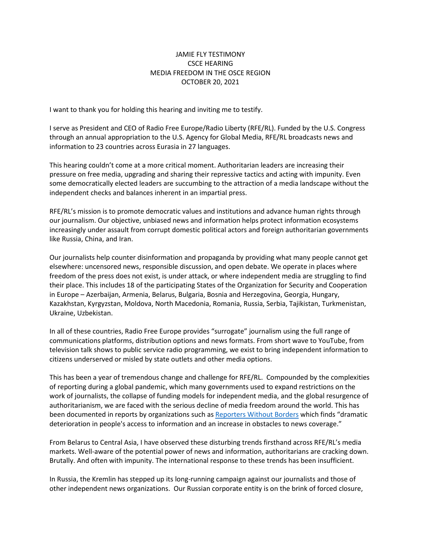## JAMIE FLY TESTIMONY CSCE HEARING MEDIA FREEDOM IN THE OSCE REGION OCTOBER 20, 2021

I want to thank you for holding this hearing and inviting me to testify.

I serve as President and CEO of Radio Free Europe/Radio Liberty (RFE/RL). Funded by the U.S. Congress through an annual appropriation to the U.S. Agency for Global Media, RFE/RL broadcasts news and information to 23 countries across Eurasia in 27 languages.

This hearing couldn't come at a more critical moment. Authoritarian leaders are increasing their pressure on free media, upgrading and sharing their repressive tactics and acting with impunity. Even some democratically elected leaders are succumbing to the attraction of a media landscape without the independent checks and balances inherent in an impartial press.

RFE/RL's mission is to promote democratic values and institutions and advance human rights through our journalism. Our objective, unbiased news and information helps protect information ecosystems increasingly under assault from corrupt domestic political actors and foreign authoritarian governments like Russia, China, and Iran.

Our journalists help counter disinformation and propaganda by providing what many people cannot get elsewhere: uncensored news, responsible discussion, and open debate. We operate in places where freedom of the press does not exist, is under attack, or where independent media are struggling to find their place. This includes 18 of the participating States of the Organization for Security and Cooperation in Europe – Azerbaijan, Armenia, Belarus, Bulgaria, Bosnia and Herzegovina, Georgia, Hungary, Kazakhstan, Kyrgyzstan, Moldova, North Macedonia, Romania, Russia, Serbia, Tajikistan, Turkmenistan, Ukraine, Uzbekistan.

In all of these countries, Radio Free Europe provides "surrogate" journalism using the full range of communications platforms, distribution options and news formats. From short wave to YouTube, from television talk shows to public service radio programming, we exist to bring independent information to citizens underserved or misled by state outlets and other media options.

This has been a year of tremendous change and challenge for RFE/RL. Compounded by the complexities of reporting during a global pandemic, which many governments used to expand restrictions on the work of journalists, the collapse of funding models for independent media, and the global resurgence of authoritarianism, we are faced with the serious decline of media freedom around the world. This has been documented in reports by organizations such as [Reporters Without Borders](https://rsf.org/en/2021-world-press-freedom-index-journalism-vaccine-against-disinformation-blocked-more-130-countries) which finds "dramatic deterioration in people's access to information and an increase in obstacles to news coverage."

From Belarus to Central Asia, I have observed these disturbing trends firsthand across RFE/RL's media markets. Well-aware of the potential power of news and information, authoritarians are cracking down. Brutally. And often with impunity. The international response to these trends has been insufficient.

In Russia, the Kremlin has stepped up its long-running campaign against our journalists and those of other independent news organizations. Our Russian corporate entity is on the brink of forced closure,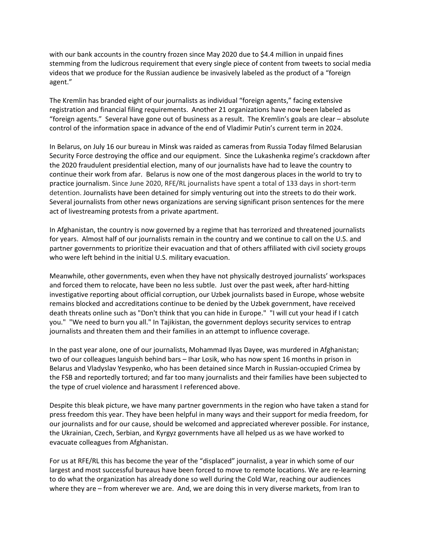with our bank accounts in the country frozen since May 2020 due to \$4.4 million in unpaid fines stemming from the ludicrous requirement that every single piece of content from tweets to social media videos that we produce for the Russian audience be invasively labeled as the product of a "foreign agent."

The Kremlin has branded eight of our journalists as individual "foreign agents," facing extensive registration and financial filing requirements. Another 21 organizations have now been labeled as "foreign agents." Several have gone out of business as a result. The Kremlin's goals are clear – absolute control of the information space in advance of the end of Vladimir Putin's current term in 2024.

In Belarus, on July 16 our bureau in Minsk was raided as cameras from Russia Today filmed Belarusian Security Force destroying the office and our equipment. Since the Lukashenka regime's crackdown after the 2020 fraudulent presidential election, many of our journalists have had to leave the country to continue their work from afar. Belarus is now one of the most dangerous places in the world to try to practice journalism. Since June 2020, RFE/RL journalists have spent a total of 133 days in short-term detention. Journalists have been detained for simply venturing out into the streets to do their work. Several journalists from other news organizations are serving significant prison sentences for the mere act of livestreaming protests from a private apartment.

In Afghanistan, the country is now governed by a regime that has terrorized and threatened journalists for years. Almost half of our journalists remain in the country and we continue to call on the U.S. and partner governments to prioritize their evacuation and that of others affiliated with civil society groups who were left behind in the initial U.S. military evacuation.

Meanwhile, other governments, even when they have not physically destroyed journalists' workspaces and forced them to relocate, have been no less subtle. Just over the past week, after hard-hitting investigative reporting about official corruption, our Uzbek journalists based in Europe, whose website remains blocked and accreditations continue to be denied by the Uzbek government, have received death threats online such as "Don't think that you can hide in Europe." "I will cut your head if I catch you." "We need to burn you all." In Tajikistan, the government deploys security services to entrap journalists and threaten them and their families in an attempt to influence coverage.

In the past year alone, one of our journalists, Mohammad Ilyas Dayee, was murdered in Afghanistan; two of our colleagues languish behind bars – Ihar Losik, who has now spent 16 months in prison in Belarus and Vladyslav Yesypenko, who has been detained since March in Russian-occupied Crimea by the FSB and reportedly tortured; and far too many journalists and their families have been subjected to the type of cruel violence and harassment I referenced above.

Despite this bleak picture, we have many partner governments in the region who have taken a stand for press freedom this year. They have been helpful in many ways and their support for media freedom, for our journalists and for our cause, should be welcomed and appreciated wherever possible. For instance, the Ukrainian, Czech, Serbian, and Kyrgyz governments have all helped us as we have worked to evacuate colleagues from Afghanistan.

For us at RFE/RL this has become the year of the "displaced" journalist, a year in which some of our largest and most successful bureaus have been forced to move to remote locations. We are re-learning to do what the organization has already done so well during the Cold War, reaching our audiences where they are – from wherever we are. And, we are doing this in very diverse markets, from Iran to